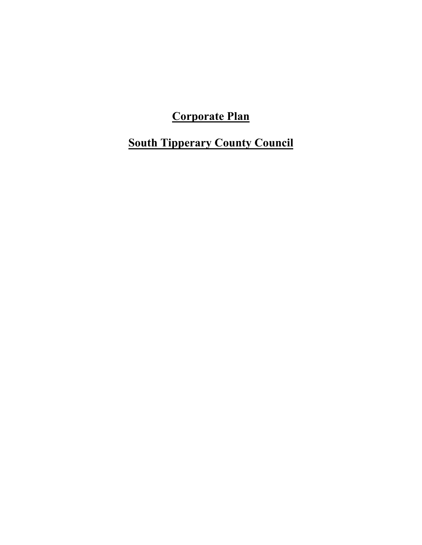**Corporate Plan** 

**South Tipperary County Council**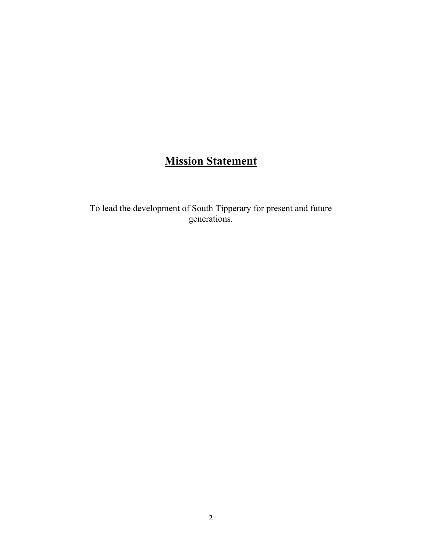# **Mission Statement**

To lead the development of South Tipperary for present and future generations.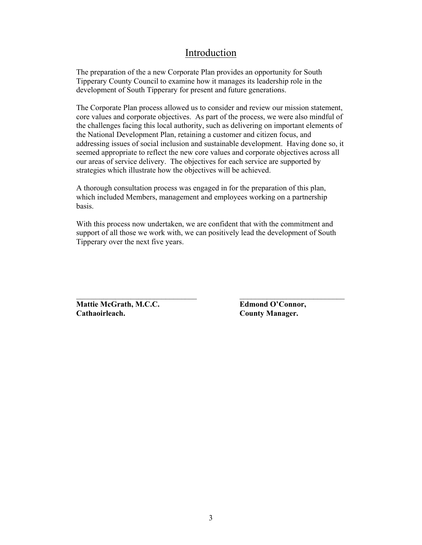### Introduction

The preparation of the a new Corporate Plan provides an opportunity for South Tipperary County Council to examine how it manages its leadership role in the development of South Tipperary for present and future generations.

The Corporate Plan process allowed us to consider and review our mission statement, core values and corporate objectives. As part of the process, we were also mindful of the challenges facing this local authority, such as delivering on important elements of the National Development Plan, retaining a customer and citizen focus, and addressing issues of social inclusion and sustainable development. Having done so, it seemed appropriate to reflect the new core values and corporate objectives across all our areas of service delivery. The objectives for each service are supported by strategies which illustrate how the objectives will be achieved.

A thorough consultation process was engaged in for the preparation of this plan, which included Members, management and employees working on a partnership basis.

With this process now undertaken, we are confident that with the commitment and support of all those we work with, we can positively lead the development of South Tipperary over the next five years.

 $\mathcal{L}_\text{max}$  and the contract of the contract of the contract of the contract of the contract of the contract of

**Mattie McGrath, M.C.C. Edmond O'Connor, Cathaoirleach. County Manager.**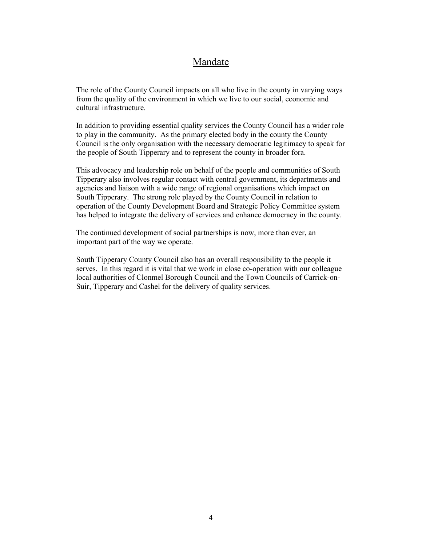### Mandate

The role of the County Council impacts on all who live in the county in varying ways from the quality of the environment in which we live to our social, economic and cultural infrastructure.

In addition to providing essential quality services the County Council has a wider role to play in the community. As the primary elected body in the county the County Council is the only organisation with the necessary democratic legitimacy to speak for the people of South Tipperary and to represent the county in broader fora.

This advocacy and leadership role on behalf of the people and communities of South Tipperary also involves regular contact with central government, its departments and agencies and liaison with a wide range of regional organisations which impact on South Tipperary. The strong role played by the County Council in relation to operation of the County Development Board and Strategic Policy Committee system has helped to integrate the delivery of services and enhance democracy in the county.

The continued development of social partnerships is now, more than ever, an important part of the way we operate.

South Tipperary County Council also has an overall responsibility to the people it serves. In this regard it is vital that we work in close co-operation with our colleague local authorities of Clonmel Borough Council and the Town Councils of Carrick-on-Suir, Tipperary and Cashel for the delivery of quality services.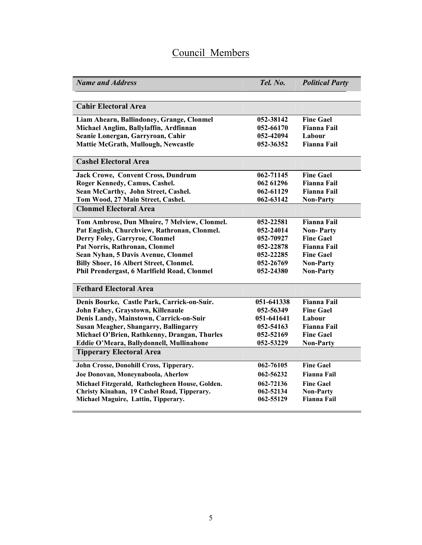# Council Members

| <b>Name and Address</b>                         | Tel. No.   | <b>Political Party</b> |
|-------------------------------------------------|------------|------------------------|
|                                                 |            |                        |
| <b>Cahir Electoral Area</b>                     |            |                        |
| Liam Ahearn, Ballindoney, Grange, Clonmel       | 052-38142  | <b>Fine Gael</b>       |
| Michael Anglim, Ballylaffin, Ardfinnan          | 052-66170  | <b>Fianna Fail</b>     |
| Seanie Lonergan, Garryroan, Cahir               | 052-42094  | Labour                 |
| <b>Mattie McGrath, Mullough, Newcastle</b>      | 052-36352  | <b>Fianna Fail</b>     |
| <b>Cashel Electoral Area</b>                    |            |                        |
| <b>Jack Crowe, Convent Cross, Dundrum</b>       | 062-71145  | <b>Fine Gael</b>       |
| Roger Kennedy, Camus, Cashel.                   | 062 61296  | <b>Fianna Fail</b>     |
| Sean McCarthy, John Street, Cashel.             | 062-61129  | <b>Fianna Fail</b>     |
| Tom Wood, 27 Main Street, Cashel.               | 062-63142  | <b>Non-Party</b>       |
| <b>Clonmel Electoral Area</b>                   |            |                        |
| Tom Ambrose, Dun Mhuire, 7 Melview, Clonmel.    | 052-22581  | <b>Fianna Fail</b>     |
| Pat English, Churchview, Rathronan, Clonmel.    | 052-24014  | <b>Non-Party</b>       |
| Derry Foley, Garryroe, Clonmel                  | 052-70927  | <b>Fine Gael</b>       |
| Pat Norris, Rathronan, Clonmel                  | 052-22878  | <b>Fianna Fail</b>     |
| Sean Nyhan, 5 Davis Avenue, Clonmel             | 052-22285  | <b>Fine Gael</b>       |
| <b>Billy Shoer, 16 Albert Street, Clonmel.</b>  | 052-26769  | <b>Non-Party</b>       |
| Phil Prendergast, 6 Marlfield Road, Clonmel     | 052-24380  | <b>Non-Party</b>       |
| <b>Fethard Electoral Area</b>                   |            |                        |
| Denis Bourke, Castle Park, Carrick-on-Suir.     | 051-641338 | <b>Fianna Fail</b>     |
| John Fahey, Graystown, Killenaule               | 052-56349  | <b>Fine Gael</b>       |
| Denis Landy, Mainstown, Carrick-on-Suir         | 051-641641 | Labour                 |
| <b>Susan Meagher, Shangarry, Ballingarry</b>    | 052-54163  | <b>Fianna Fail</b>     |
| Michael O'Brien, Rathkenny, Drangan, Thurles    | 052-52169  | <b>Fine Gael</b>       |
| Eddie O'Meara, Ballydonnell, Mullinahone        | 052-53229  | <b>Non-Party</b>       |
| <b>Tipperary Electoral Area</b>                 |            |                        |
| John Crosse, Donohill Cross, Tipperary.         | 062-76105  | <b>Fine Gael</b>       |
| Joe Donovan, Moneynaboola, Aherlow              | 062-56232  | <b>Fianna Fail</b>     |
| Michael Fitzgerald, Rathclogheen House, Golden. | 062-72136  | <b>Fine Gael</b>       |
| Christy Kinahan, 19 Cashel Road, Tipperary.     | 062-52134  | <b>Non-Party</b>       |
| Michael Maguire, Lattin, Tipperary.             | 062-55129  | <b>Fianna Fail</b>     |
|                                                 |            |                        |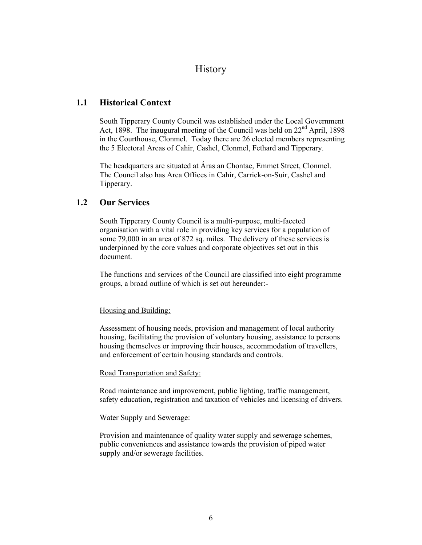### **History**

### **1.1 Historical Context**

South Tipperary County Council was established under the Local Government Act, 1898. The inaugural meeting of the Council was held on  $22<sup>nd</sup>$  April, 1898 in the Courthouse, Clonmel. Today there are 26 elected members representing the 5 Electoral Areas of Cahir, Cashel, Clonmel, Fethard and Tipperary.

The headquarters are situated at Áras an Chontae, Emmet Street, Clonmel. The Council also has Area Offices in Cahir, Carrick-on-Suir, Cashel and Tipperary.

### **1.2 Our Services**

South Tipperary County Council is a multi-purpose, multi-faceted organisation with a vital role in providing key services for a population of some 79,000 in an area of 872 sq. miles. The delivery of these services is underpinned by the core values and corporate objectives set out in this document.

The functions and services of the Council are classified into eight programme groups, a broad outline of which is set out hereunder:-

#### Housing and Building:

Assessment of housing needs, provision and management of local authority housing, facilitating the provision of voluntary housing, assistance to persons housing themselves or improving their houses, accommodation of travellers, and enforcement of certain housing standards and controls.

#### Road Transportation and Safety:

Road maintenance and improvement, public lighting, traffic management, safety education, registration and taxation of vehicles and licensing of drivers.

#### Water Supply and Sewerage:

Provision and maintenance of quality water supply and sewerage schemes, public conveniences and assistance towards the provision of piped water supply and/or sewerage facilities.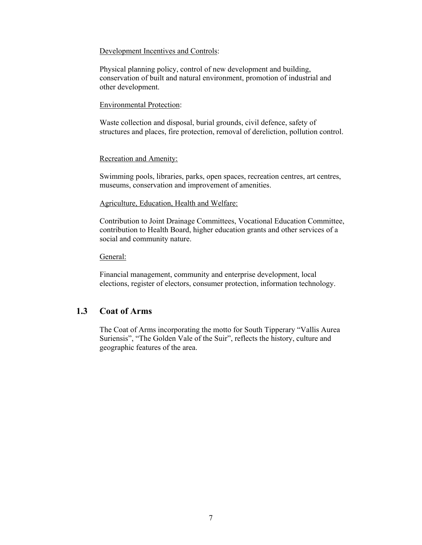#### Development Incentives and Controls:

Physical planning policy, control of new development and building, conservation of built and natural environment, promotion of industrial and other development.

#### Environmental Protection:

Waste collection and disposal, burial grounds, civil defence, safety of structures and places, fire protection, removal of dereliction, pollution control.

#### Recreation and Amenity:

Swimming pools, libraries, parks, open spaces, recreation centres, art centres, museums, conservation and improvement of amenities.

#### Agriculture, Education, Health and Welfare:

Contribution to Joint Drainage Committees, Vocational Education Committee, contribution to Health Board, higher education grants and other services of a social and community nature.

#### General:

Financial management, community and enterprise development, local elections, register of electors, consumer protection, information technology.

### **1.3 Coat of Arms**

The Coat of Arms incorporating the motto for South Tipperary "Vallis Aurea Suriensis", "The Golden Vale of the Suir", reflects the history, culture and geographic features of the area.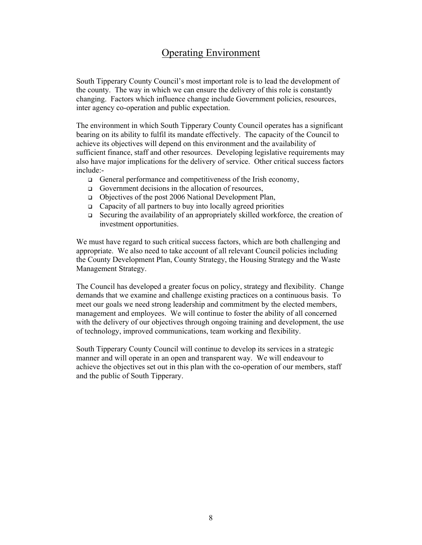# Operating Environment

South Tipperary County Council's most important role is to lead the development of the county. The way in which we can ensure the delivery of this role is constantly changing. Factors which influence change include Government policies, resources, inter agency co-operation and public expectation.

The environment in which South Tipperary County Council operates has a significant bearing on its ability to fulfil its mandate effectively. The capacity of the Council to achieve its objectives will depend on this environment and the availability of sufficient finance, staff and other resources. Developing legislative requirements may also have major implications for the delivery of service. Other critical success factors include:-

- General performance and competitiveness of the Irish economy,
- Government decisions in the allocation of resources,
- Objectives of the post 2006 National Development Plan,
- $\Box$  Capacity of all partners to buy into locally agreed priorities
- $\Box$  Securing the availability of an appropriately skilled workforce, the creation of investment opportunities.

We must have regard to such critical success factors, which are both challenging and appropriate. We also need to take account of all relevant Council policies including the County Development Plan, County Strategy, the Housing Strategy and the Waste Management Strategy.

The Council has developed a greater focus on policy, strategy and flexibility. Change demands that we examine and challenge existing practices on a continuous basis. To meet our goals we need strong leadership and commitment by the elected members, management and employees. We will continue to foster the ability of all concerned with the delivery of our objectives through ongoing training and development, the use of technology, improved communications, team working and flexibility.

South Tipperary County Council will continue to develop its services in a strategic manner and will operate in an open and transparent way. We will endeavour to achieve the objectives set out in this plan with the co-operation of our members, staff and the public of South Tipperary.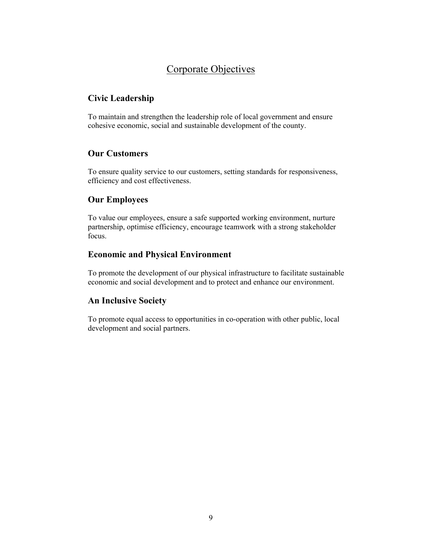### Corporate Objectives

### **Civic Leadership**

To maintain and strengthen the leadership role of local government and ensure cohesive economic, social and sustainable development of the county.

### **Our Customers**

To ensure quality service to our customers, setting standards for responsiveness, efficiency and cost effectiveness.

#### **Our Employees**

To value our employees, ensure a safe supported working environment, nurture partnership, optimise efficiency, encourage teamwork with a strong stakeholder focus.

### **Economic and Physical Environment**

To promote the development of our physical infrastructure to facilitate sustainable economic and social development and to protect and enhance our environment.

### **An Inclusive Society**

To promote equal access to opportunities in co-operation with other public, local development and social partners.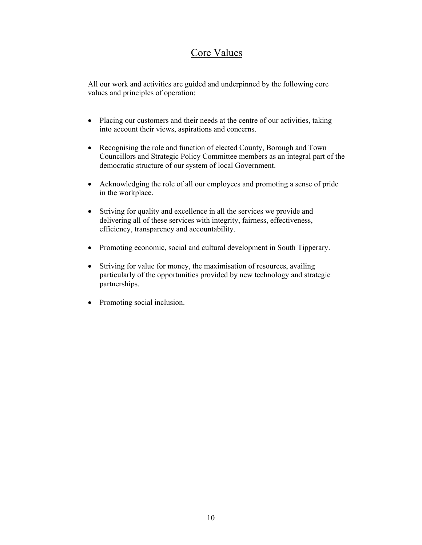# Core Values

All our work and activities are guided and underpinned by the following core values and principles of operation:

- Placing our customers and their needs at the centre of our activities, taking into account their views, aspirations and concerns.
- Recognising the role and function of elected County, Borough and Town Councillors and Strategic Policy Committee members as an integral part of the democratic structure of our system of local Government.
- Acknowledging the role of all our employees and promoting a sense of pride in the workplace.
- Striving for quality and excellence in all the services we provide and delivering all of these services with integrity, fairness, effectiveness, efficiency, transparency and accountability.
- Promoting economic, social and cultural development in South Tipperary.
- Striving for value for money, the maximisation of resources, availing particularly of the opportunities provided by new technology and strategic partnerships.
- Promoting social inclusion.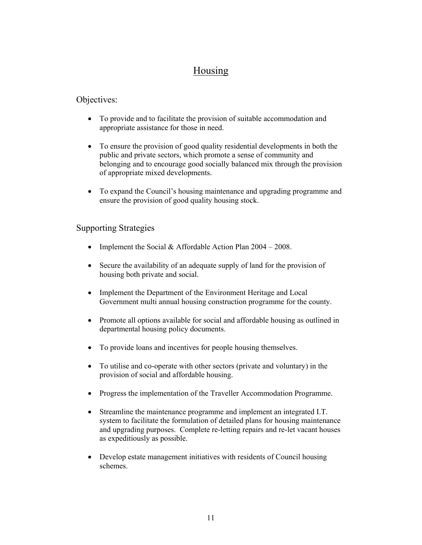# Housing

#### Objectives:

- To provide and to facilitate the provision of suitable accommodation and appropriate assistance for those in need.
- To ensure the provision of good quality residential developments in both the public and private sectors, which promote a sense of community and belonging and to encourage good socially balanced mix through the provision of appropriate mixed developments.
- To expand the Council's housing maintenance and upgrading programme and ensure the provision of good quality housing stock.

- Implement the Social & Affordable Action Plan 2004 2008.
- Secure the availability of an adequate supply of land for the provision of housing both private and social.
- Implement the Department of the Environment Heritage and Local Government multi annual housing construction programme for the county.
- Promote all options available for social and affordable housing as outlined in departmental housing policy documents.
- To provide loans and incentives for people housing themselves.
- To utilise and co-operate with other sectors (private and voluntary) in the provision of social and affordable housing.
- Progress the implementation of the Traveller Accommodation Programme.
- Streamline the maintenance programme and implement an integrated I.T. system to facilitate the formulation of detailed plans for housing maintenance and upgrading purposes. Complete re-letting repairs and re-let vacant houses as expeditiously as possible.
- Develop estate management initiatives with residents of Council housing schemes.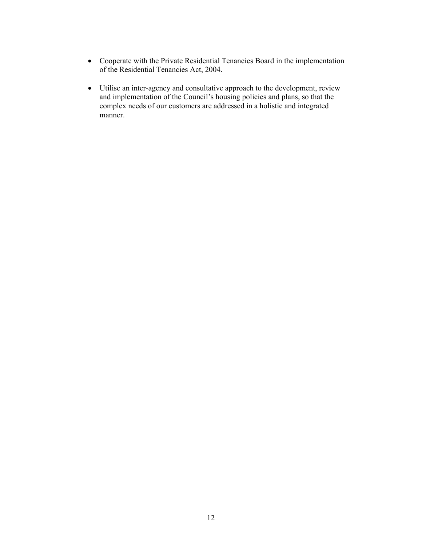- Cooperate with the Private Residential Tenancies Board in the implementation of the Residential Tenancies Act, 2004.
- Utilise an inter-agency and consultative approach to the development, review and implementation of the Council's housing policies and plans, so that the complex needs of our customers are addressed in a holistic and integrated manner.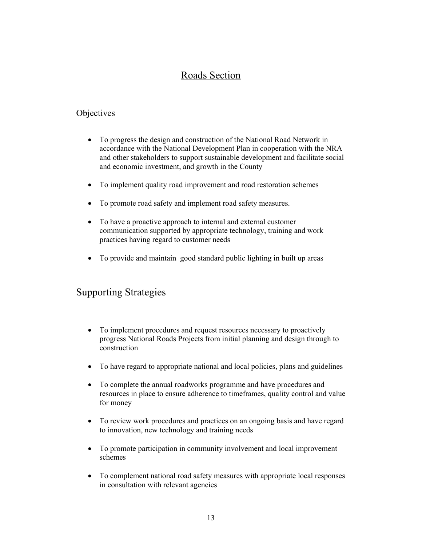# Roads Section

### **Objectives**

- To progress the design and construction of the National Road Network in accordance with the National Development Plan in cooperation with the NRA and other stakeholders to support sustainable development and facilitate social and economic investment, and growth in the County
- To implement quality road improvement and road restoration schemes
- To promote road safety and implement road safety measures.
- To have a proactive approach to internal and external customer communication supported by appropriate technology, training and work practices having regard to customer needs
- To provide and maintain good standard public lighting in built up areas

- To implement procedures and request resources necessary to proactively progress National Roads Projects from initial planning and design through to construction
- To have regard to appropriate national and local policies, plans and guidelines
- To complete the annual roadworks programme and have procedures and resources in place to ensure adherence to timeframes, quality control and value for money
- To review work procedures and practices on an ongoing basis and have regard to innovation, new technology and training needs
- To promote participation in community involvement and local improvement schemes
- To complement national road safety measures with appropriate local responses in consultation with relevant agencies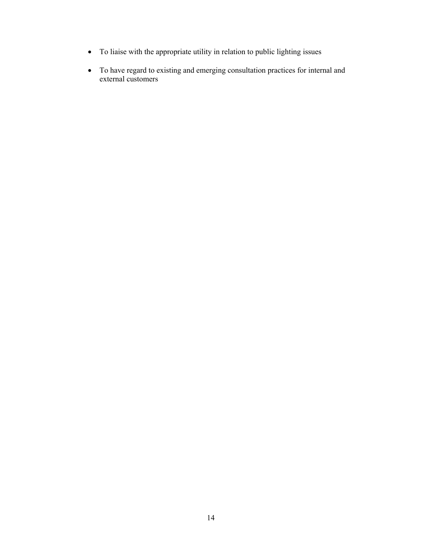- To liaise with the appropriate utility in relation to public lighting issues
- To have regard to existing and emerging consultation practices for internal and external customers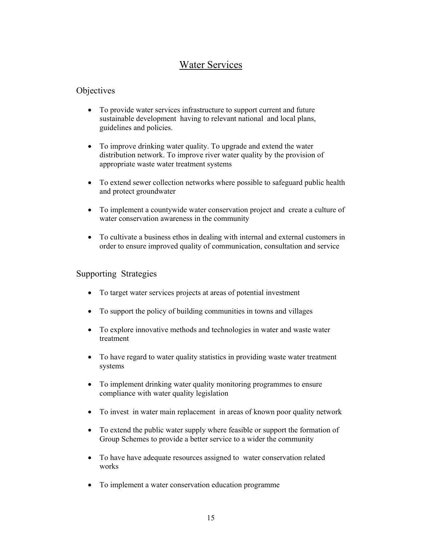### Water Services

### **Objectives**

- To provide water services infrastructure to support current and future sustainable development having to relevant national and local plans, guidelines and policies.
- To improve drinking water quality. To upgrade and extend the water distribution network. To improve river water quality by the provision of appropriate waste water treatment systems
- To extend sewer collection networks where possible to safeguard public health and protect groundwater
- To implement a countywide water conservation project and create a culture of water conservation awareness in the community
- To cultivate a business ethos in dealing with internal and external customers in order to ensure improved quality of communication, consultation and service

- To target water services projects at areas of potential investment
- To support the policy of building communities in towns and villages
- To explore innovative methods and technologies in water and waste water treatment
- To have regard to water quality statistics in providing waste water treatment systems
- To implement drinking water quality monitoring programmes to ensure compliance with water quality legislation
- To invest in water main replacement in areas of known poor quality network
- To extend the public water supply where feasible or support the formation of Group Schemes to provide a better service to a wider the community
- To have have adequate resources assigned to water conservation related works
- To implement a water conservation education programme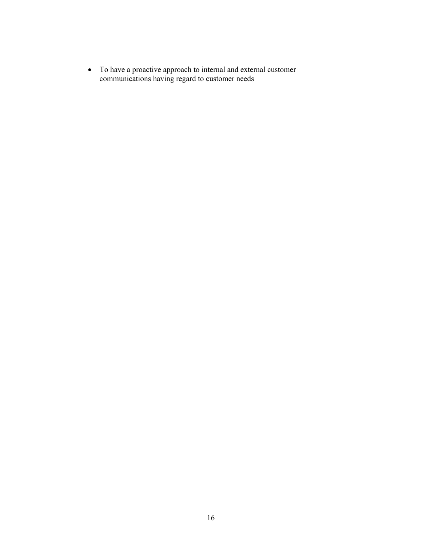• To have a proactive approach to internal and external customer communications having regard to customer needs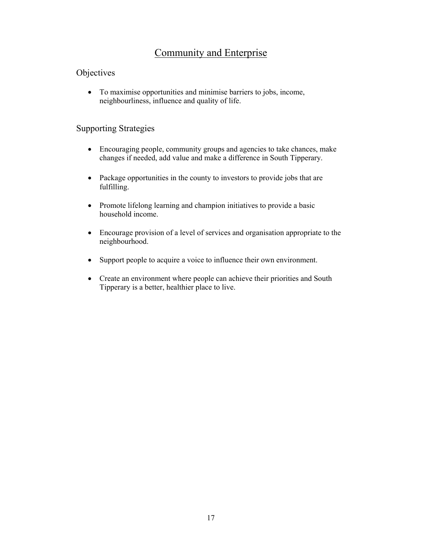# Community and Enterprise

### **Objectives**

• To maximise opportunities and minimise barriers to jobs, income, neighbourliness, influence and quality of life.

- Encouraging people, community groups and agencies to take chances, make changes if needed, add value and make a difference in South Tipperary.
- Package opportunities in the county to investors to provide jobs that are fulfilling.
- Promote lifelong learning and champion initiatives to provide a basic household income.
- Encourage provision of a level of services and organisation appropriate to the neighbourhood.
- Support people to acquire a voice to influence their own environment.
- Create an environment where people can achieve their priorities and South Tipperary is a better, healthier place to live.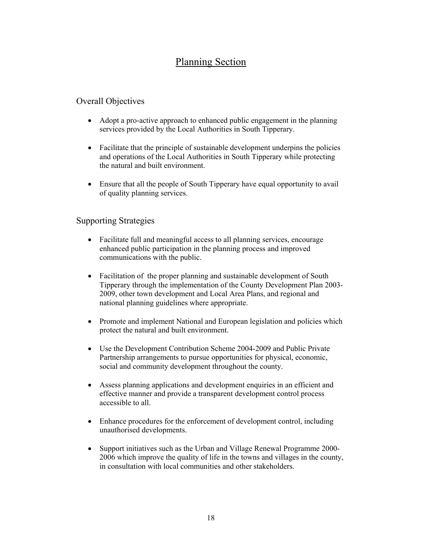# Planning Section

### Overall Objectives

- Adopt a pro-active approach to enhanced public engagement in the planning services provided by the Local Authorities in South Tipperary.
- Facilitate that the principle of sustainable development underpins the policies and operations of the Local Authorities in South Tipperary while protecting the natural and built environment.
- Ensure that all the people of South Tipperary have equal opportunity to avail of quality planning services.

- Facilitate full and meaningful access to all planning services, encourage enhanced public participation in the planning process and improved communications with the public.
- Facilitation of the proper planning and sustainable development of South Tipperary through the implementation of the County Development Plan 2003- 2009, other town development and Local Area Plans, and regional and national planning guidelines where appropriate.
- Promote and implement National and European legislation and policies which protect the natural and built environment.
- Use the Development Contribution Scheme 2004-2009 and Public Private Partnership arrangements to pursue opportunities for physical, economic, social and community development throughout the county.
- Assess planning applications and development enquiries in an efficient and effective manner and provide a transparent development control process accessible to all.
- Enhance procedures for the enforcement of development control, including unauthorised developments.
- Support initiatives such as the Urban and Village Renewal Programme 2000- 2006 which improve the quality of life in the towns and villages in the county, in consultation with local communities and other stakeholders.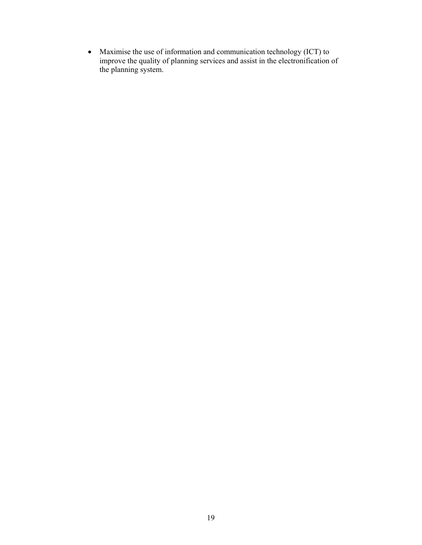• Maximise the use of information and communication technology (ICT) to improve the quality of planning services and assist in the electronification of the planning system.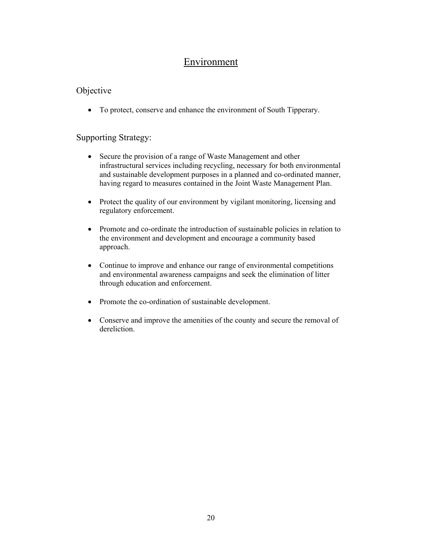# Environment

### Objective

• To protect, conserve and enhance the environment of South Tipperary.

### Supporting Strategy:

- Secure the provision of a range of Waste Management and other infrastructural services including recycling, necessary for both environmental and sustainable development purposes in a planned and co-ordinated manner, having regard to measures contained in the Joint Waste Management Plan.
- Protect the quality of our environment by vigilant monitoring, licensing and regulatory enforcement.
- Promote and co-ordinate the introduction of sustainable policies in relation to the environment and development and encourage a community based approach.
- Continue to improve and enhance our range of environmental competitions and environmental awareness campaigns and seek the elimination of litter through education and enforcement.
- Promote the co-ordination of sustainable development.
- Conserve and improve the amenities of the county and secure the removal of dereliction.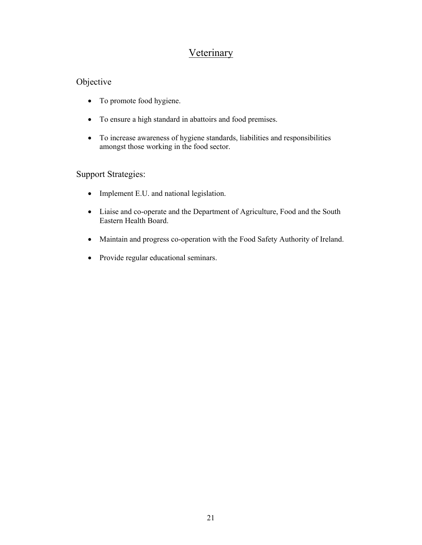# **Veterinary**

### Objective

- To promote food hygiene.
- To ensure a high standard in abattoirs and food premises.
- To increase awareness of hygiene standards, liabilities and responsibilities amongst those working in the food sector.

### Support Strategies:

- Implement E.U. and national legislation.
- Liaise and co-operate and the Department of Agriculture, Food and the South Eastern Health Board.
- Maintain and progress co-operation with the Food Safety Authority of Ireland.
- Provide regular educational seminars.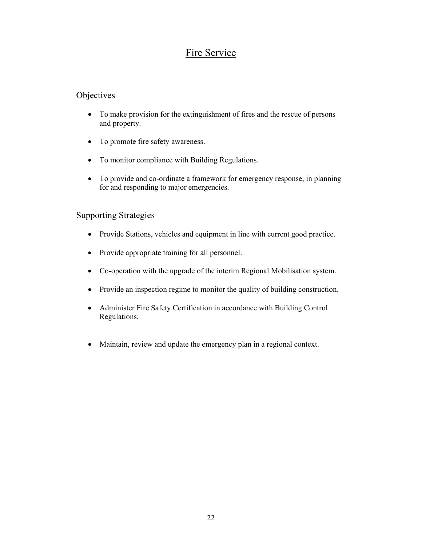# Fire Service

#### **Objectives**

- To make provision for the extinguishment of fires and the rescue of persons and property.
- To promote fire safety awareness.
- To monitor compliance with Building Regulations.
- To provide and co-ordinate a framework for emergency response, in planning for and responding to major emergencies.

- Provide Stations, vehicles and equipment in line with current good practice.
- Provide appropriate training for all personnel.
- Co-operation with the upgrade of the interim Regional Mobilisation system.
- Provide an inspection regime to monitor the quality of building construction.
- Administer Fire Safety Certification in accordance with Building Control Regulations.
- Maintain, review and update the emergency plan in a regional context.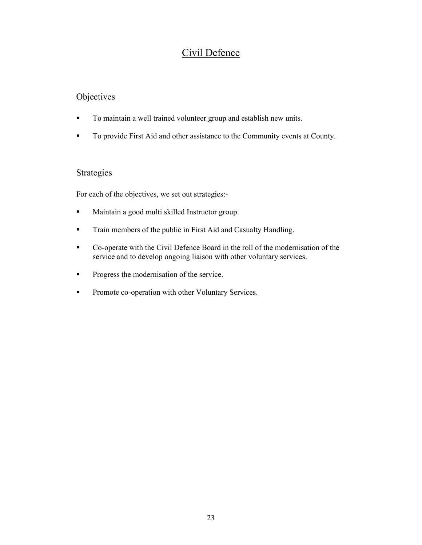# Civil Defence

### Objectives

- To maintain a well trained volunteer group and establish new units.
- To provide First Aid and other assistance to the Community events at County.

### Strategies

For each of the objectives, we set out strategies:-

- Maintain a good multi skilled Instructor group.
- Train members of the public in First Aid and Casualty Handling.
- Co-operate with the Civil Defence Board in the roll of the modernisation of the service and to develop ongoing liaison with other voluntary services.
- **Progress the modernisation of the service.**
- Promote co-operation with other Voluntary Services.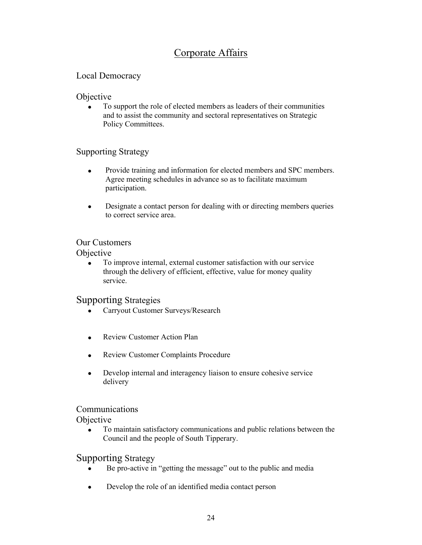# Corporate Affairs

### Local Democracy

### **Objective**

• To support the role of elected members as leaders of their communities and to assist the community and sectoral representatives on Strategic Policy Committees.

### Supporting Strategy

- Provide training and information for elected members and SPC members. Agree meeting schedules in advance so as to facilitate maximum participation.
- Designate a contact person for dealing with or directing members queries to correct service area.

### Our Customers

### **Objective**

• To improve internal, external customer satisfaction with our service through the delivery of efficient, effective, value for money quality service.

### Supporting Strategies

- Carryout Customer Surveys/Research
- Review Customer Action Plan
- Review Customer Complaints Procedure
- Develop internal and interagency liaison to ensure cohesive service delivery

### Communications

**Objective** 

• To maintain satisfactory communications and public relations between the Council and the people of South Tipperary.

### Supporting Strategy

- Be pro-active in "getting the message" out to the public and media
- Develop the role of an identified media contact person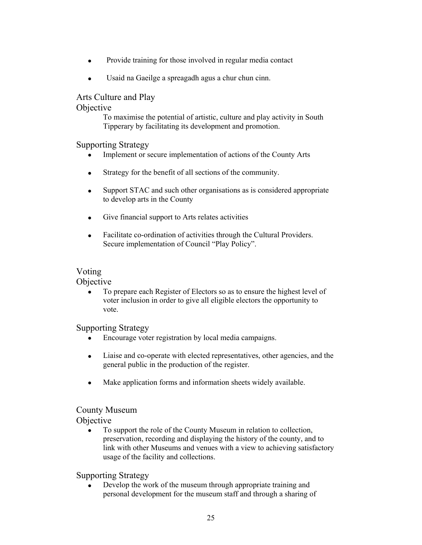- Provide training for those involved in regular media contact
- Usaid na Gaeilge a spreagadh agus a chur chun cinn.

### Arts Culture and Play

#### **Objective**

 To maximise the potential of artistic, culture and play activity in South Tipperary by facilitating its development and promotion.

### Supporting Strategy

- Implement or secure implementation of actions of the County Arts
- Strategy for the benefit of all sections of the community.
- Support STAC and such other organisations as is considered appropriate to develop arts in the County
- Give financial support to Arts relates activities
- Facilitate co-ordination of activities through the Cultural Providers. Secure implementation of Council "Play Policy".

#### Voting

**Objective** 

• To prepare each Register of Electors so as to ensure the highest level of voter inclusion in order to give all eligible electors the opportunity to vote.

#### Supporting Strategy

- Encourage voter registration by local media campaigns.
- Liaise and co-operate with elected representatives, other agencies, and the general public in the production of the register.
- Make application forms and information sheets widely available.

### County Museum

**Objective** 

• To support the role of the County Museum in relation to collection, preservation, recording and displaying the history of the county, and to link with other Museums and venues with a view to achieving satisfactory usage of the facility and collections.

### Supporting Strategy

• Develop the work of the museum through appropriate training and personal development for the museum staff and through a sharing of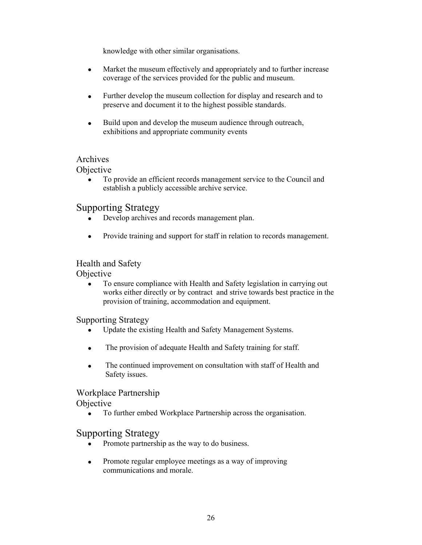knowledge with other similar organisations.

- Market the museum effectively and appropriately and to further increase coverage of the services provided for the public and museum.
- Further develop the museum collection for display and research and to preserve and document it to the highest possible standards.
- Build upon and develop the museum audience through outreach, exhibitions and appropriate community events

#### Archives

**Objective** 

• To provide an efficient records management service to the Council and establish a publicly accessible archive service.

### Supporting Strategy

- Develop archives and records management plan.
- Provide training and support for staff in relation to records management.

### Health and Safety

**Objective** 

• To ensure compliance with Health and Safety legislation in carrying out works either directly or by contract and strive towards best practice in the provision of training, accommodation and equipment.

#### Supporting Strategy

- Update the existing Health and Safety Management Systems.
- The provision of adequate Health and Safety training for staff.
- The continued improvement on consultation with staff of Health and Safety issues.

### Workplace Partnership

**Objective** 

• To further embed Workplace Partnership across the organisation.

### Supporting Strategy

- Promote partnership as the way to do business.
- Promote regular employee meetings as a way of improving communications and morale.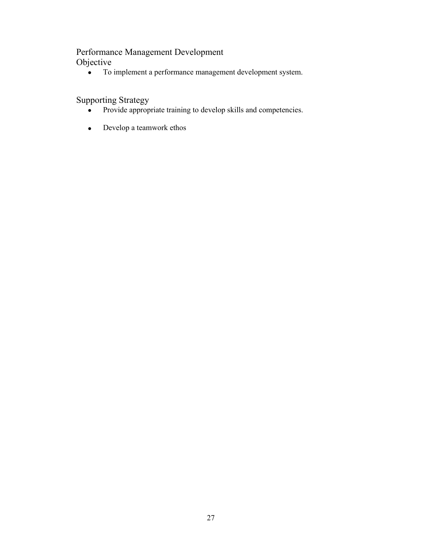# Performance Management Development

Objective

• To implement a performance management development system.

# Supporting Strategy

- Provide appropriate training to develop skills and competencies.
- Develop a teamwork ethos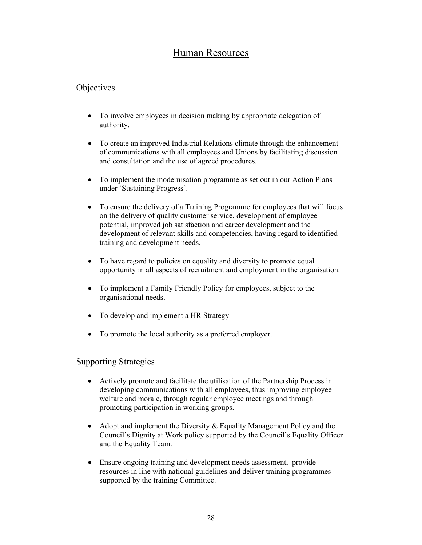# Human Resources

### **Objectives**

- To involve employees in decision making by appropriate delegation of authority.
- To create an improved Industrial Relations climate through the enhancement of communications with all employees and Unions by facilitating discussion and consultation and the use of agreed procedures.
- To implement the modernisation programme as set out in our Action Plans under 'Sustaining Progress'.
- To ensure the delivery of a Training Programme for employees that will focus on the delivery of quality customer service, development of employee potential, improved job satisfaction and career development and the development of relevant skills and competencies, having regard to identified training and development needs.
- To have regard to policies on equality and diversity to promote equal opportunity in all aspects of recruitment and employment in the organisation.
- To implement a Family Friendly Policy for employees, subject to the organisational needs.
- To develop and implement a HR Strategy
- To promote the local authority as a preferred employer.

- Actively promote and facilitate the utilisation of the Partnership Process in developing communications with all employees, thus improving employee welfare and morale, through regular employee meetings and through promoting participation in working groups.
- Adopt and implement the Diversity & Equality Management Policy and the Council's Dignity at Work policy supported by the Council's Equality Officer and the Equality Team.
- Ensure ongoing training and development needs assessment, provide resources in line with national guidelines and deliver training programmes supported by the training Committee.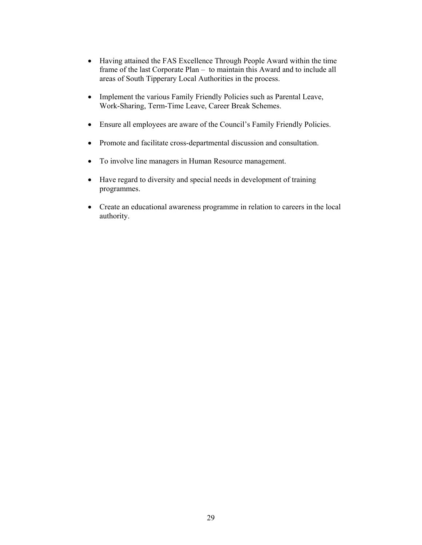- Having attained the FAS Excellence Through People Award within the time frame of the last Corporate Plan – to maintain this Award and to include all areas of South Tipperary Local Authorities in the process.
- Implement the various Family Friendly Policies such as Parental Leave, Work-Sharing, Term-Time Leave, Career Break Schemes.
- Ensure all employees are aware of the Council's Family Friendly Policies.
- Promote and facilitate cross-departmental discussion and consultation.
- To involve line managers in Human Resource management.
- Have regard to diversity and special needs in development of training programmes.
- Create an educational awareness programme in relation to careers in the local authority.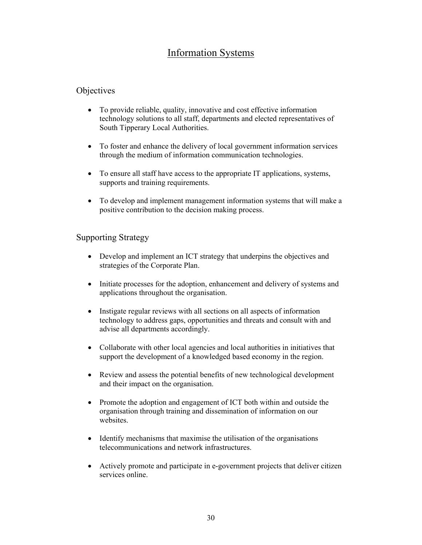# Information Systems

### **Objectives**

- To provide reliable, quality, innovative and cost effective information technology solutions to all staff, departments and elected representatives of South Tipperary Local Authorities.
- To foster and enhance the delivery of local government information services through the medium of information communication technologies.
- To ensure all staff have access to the appropriate IT applications, systems, supports and training requirements.
- To develop and implement management information systems that will make a positive contribution to the decision making process.

### Supporting Strategy

- Develop and implement an ICT strategy that underpins the objectives and strategies of the Corporate Plan.
- Initiate processes for the adoption, enhancement and delivery of systems and applications throughout the organisation.
- Instigate regular reviews with all sections on all aspects of information technology to address gaps, opportunities and threats and consult with and advise all departments accordingly.
- Collaborate with other local agencies and local authorities in initiatives that support the development of a knowledged based economy in the region.
- Review and assess the potential benefits of new technological development and their impact on the organisation.
- Promote the adoption and engagement of ICT both within and outside the organisation through training and dissemination of information on our websites
- Identify mechanisms that maximise the utilisation of the organisations telecommunications and network infrastructures.
- Actively promote and participate in e-government projects that deliver citizen services online.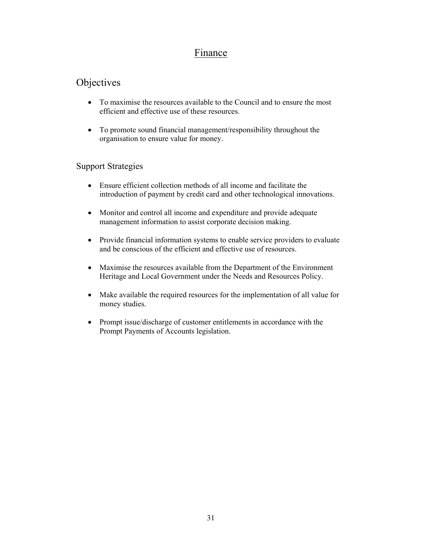### Finance

# **Objectives**

- To maximise the resources available to the Council and to ensure the most efficient and effective use of these resources.
- To promote sound financial management/responsibility throughout the organisation to ensure value for money.

- Ensure efficient collection methods of all income and facilitate the introduction of payment by credit card and other technological innovations.
- Monitor and control all income and expenditure and provide adequate management information to assist corporate decision making.
- Provide financial information systems to enable service providers to evaluate and be conscious of the efficient and effective use of resources.
- Maximise the resources available from the Department of the Environment Heritage and Local Government under the Needs and Resources Policy.
- Make available the required resources for the implementation of all value for money studies.
- Prompt issue/discharge of customer entitlements in accordance with the Prompt Payments of Accounts legislation.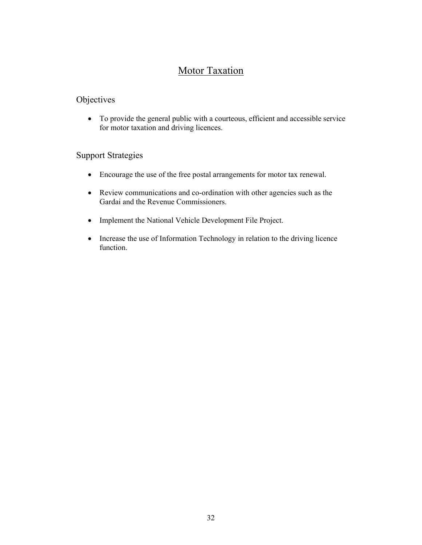# **Motor Taxation**

### Objectives

• To provide the general public with a courteous, efficient and accessible service for motor taxation and driving licences.

- Encourage the use of the free postal arrangements for motor tax renewal.
- Review communications and co-ordination with other agencies such as the Gardai and the Revenue Commissioners.
- Implement the National Vehicle Development File Project.
- Increase the use of Information Technology in relation to the driving licence function.